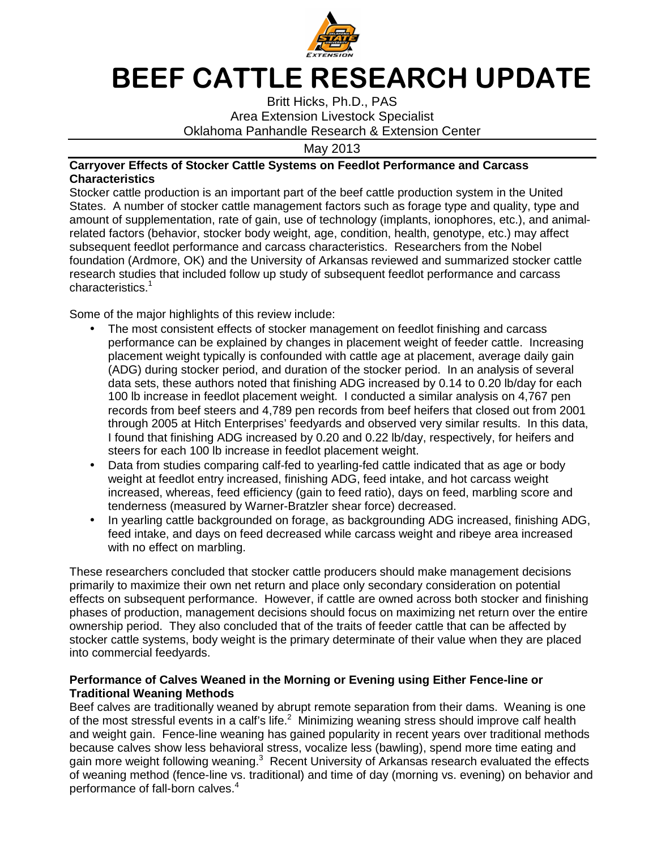

## **BEEF CATTLE RESEARCH UPDATE**

Britt Hicks, Ph.D., PAS Area Extension Livestock Specialist Oklahoma Panhandle Research & Extension Center

May 2013

## **Carryover Effects of Stocker Cattle Systems on Feedlot Performance and Carcass Characteristics**

Stocker cattle production is an important part of the beef cattle production system in the United States. A number of stocker cattle management factors such as forage type and quality, type and amount of supplementation, rate of gain, use of technology (implants, ionophores, etc.), and animalrelated factors (behavior, stocker body weight, age, condition, health, genotype, etc.) may affect subsequent feedlot performance and carcass characteristics. Researchers from the Nobel foundation (Ardmore, OK) and the University of Arkansas reviewed and summarized stocker cattle research studies that included follow up study of subsequent feedlot performance and carcass characteristics.<sup>1</sup>

Some of the major highlights of this review include:

- The most consistent effects of stocker management on feedlot finishing and carcass performance can be explained by changes in placement weight of feeder cattle. Increasing placement weight typically is confounded with cattle age at placement, average daily gain (ADG) during stocker period, and duration of the stocker period. In an analysis of several data sets, these authors noted that finishing ADG increased by 0.14 to 0.20 lb/day for each 100 lb increase in feedlot placement weight. I conducted a similar analysis on 4,767 pen records from beef steers and 4,789 pen records from beef heifers that closed out from 2001 through 2005 at Hitch Enterprises' feedyards and observed very similar results. In this data, I found that finishing ADG increased by 0.20 and 0.22 lb/day, respectively, for heifers and steers for each 100 lb increase in feedlot placement weight.
- Data from studies comparing calf-fed to yearling-fed cattle indicated that as age or body weight at feedlot entry increased, finishing ADG, feed intake, and hot carcass weight increased, whereas, feed efficiency (gain to feed ratio), days on feed, marbling score and tenderness (measured by Warner-Bratzler shear force) decreased.
- In yearling cattle backgrounded on forage, as backgrounding ADG increased, finishing ADG, feed intake, and days on feed decreased while carcass weight and ribeye area increased with no effect on marbling.

These researchers concluded that stocker cattle producers should make management decisions primarily to maximize their own net return and place only secondary consideration on potential effects on subsequent performance. However, if cattle are owned across both stocker and finishing phases of production, management decisions should focus on maximizing net return over the entire ownership period. They also concluded that of the traits of feeder cattle that can be affected by stocker cattle systems, body weight is the primary determinate of their value when they are placed into commercial feedyards.

## **Performance of Calves Weaned in the Morning or Evening using Either Fence-line or Traditional Weaning Methods**

Beef calves are traditionally weaned by abrupt remote separation from their dams. Weaning is one of the most stressful events in a calf's life. $^2$  Minimizing weaning stress should improve calf health and weight gain. Fence-line weaning has gained popularity in recent years over traditional methods because calves show less behavioral stress, vocalize less (bawling), spend more time eating and gain more weight following weaning.<sup>3</sup> Recent University of Arkansas research evaluated the effects of weaning method (fence-line vs. traditional) and time of day (morning vs. evening) on behavior and performance of fall-born calves.<sup>4</sup>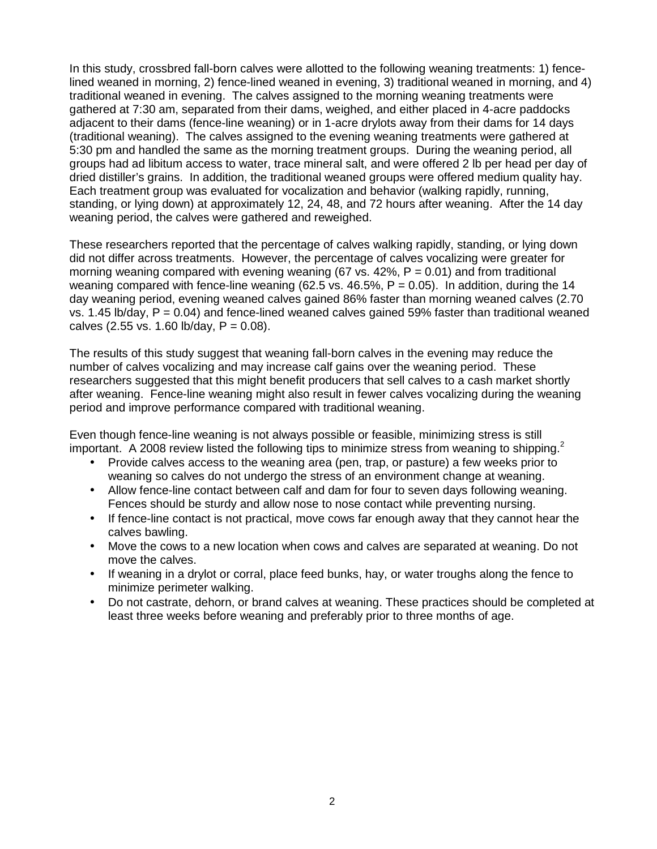In this study, crossbred fall-born calves were allotted to the following weaning treatments: 1) fencelined weaned in morning, 2) fence-lined weaned in evening, 3) traditional weaned in morning, and 4) traditional weaned in evening. The calves assigned to the morning weaning treatments were gathered at 7:30 am, separated from their dams, weighed, and either placed in 4-acre paddocks adjacent to their dams (fence-line weaning) or in 1-acre drylots away from their dams for 14 days (traditional weaning). The calves assigned to the evening weaning treatments were gathered at 5:30 pm and handled the same as the morning treatment groups. During the weaning period, all groups had ad libitum access to water, trace mineral salt, and were offered 2 lb per head per day of dried distiller's grains. In addition, the traditional weaned groups were offered medium quality hay. Each treatment group was evaluated for vocalization and behavior (walking rapidly, running, standing, or lying down) at approximately 12, 24, 48, and 72 hours after weaning. After the 14 day weaning period, the calves were gathered and reweighed.

These researchers reported that the percentage of calves walking rapidly, standing, or lying down did not differ across treatments. However, the percentage of calves vocalizing were greater for morning weaning compared with evening weaning (67 vs. 42%,  $P = 0.01$ ) and from traditional weaning compared with fence-line weaning  $(62.5 \text{ vs. } 46.5\%$ ,  $P = 0.05)$ . In addition, during the 14 day weaning period, evening weaned calves gained 86% faster than morning weaned calves (2.70 vs. 1.45 lb/day,  $P = 0.04$ ) and fence-lined weaned calves gained 59% faster than traditional weaned calves  $(2.55 \text{ vs. } 1.60 \text{ lb}/\text{day. } P = 0.08)$ .

The results of this study suggest that weaning fall-born calves in the evening may reduce the number of calves vocalizing and may increase calf gains over the weaning period. These researchers suggested that this might benefit producers that sell calves to a cash market shortly after weaning. Fence-line weaning might also result in fewer calves vocalizing during the weaning period and improve performance compared with traditional weaning.

Even though fence-line weaning is not always possible or feasible, minimizing stress is still important. A 2008 review listed the following tips to minimize stress from weaning to shipping.<sup>2</sup>

- Provide calves access to the weaning area (pen, trap, or pasture) a few weeks prior to weaning so calves do not undergo the stress of an environment change at weaning.
- Allow fence-line contact between calf and dam for four to seven days following weaning. Fences should be sturdy and allow nose to nose contact while preventing nursing.
- If fence-line contact is not practical, move cows far enough away that they cannot hear the calves bawling.
- Move the cows to a new location when cows and calves are separated at weaning. Do not move the calves.
- If weaning in a drylot or corral, place feed bunks, hay, or water troughs along the fence to minimize perimeter walking.
- Do not castrate, dehorn, or brand calves at weaning. These practices should be completed at least three weeks before weaning and preferably prior to three months of age.